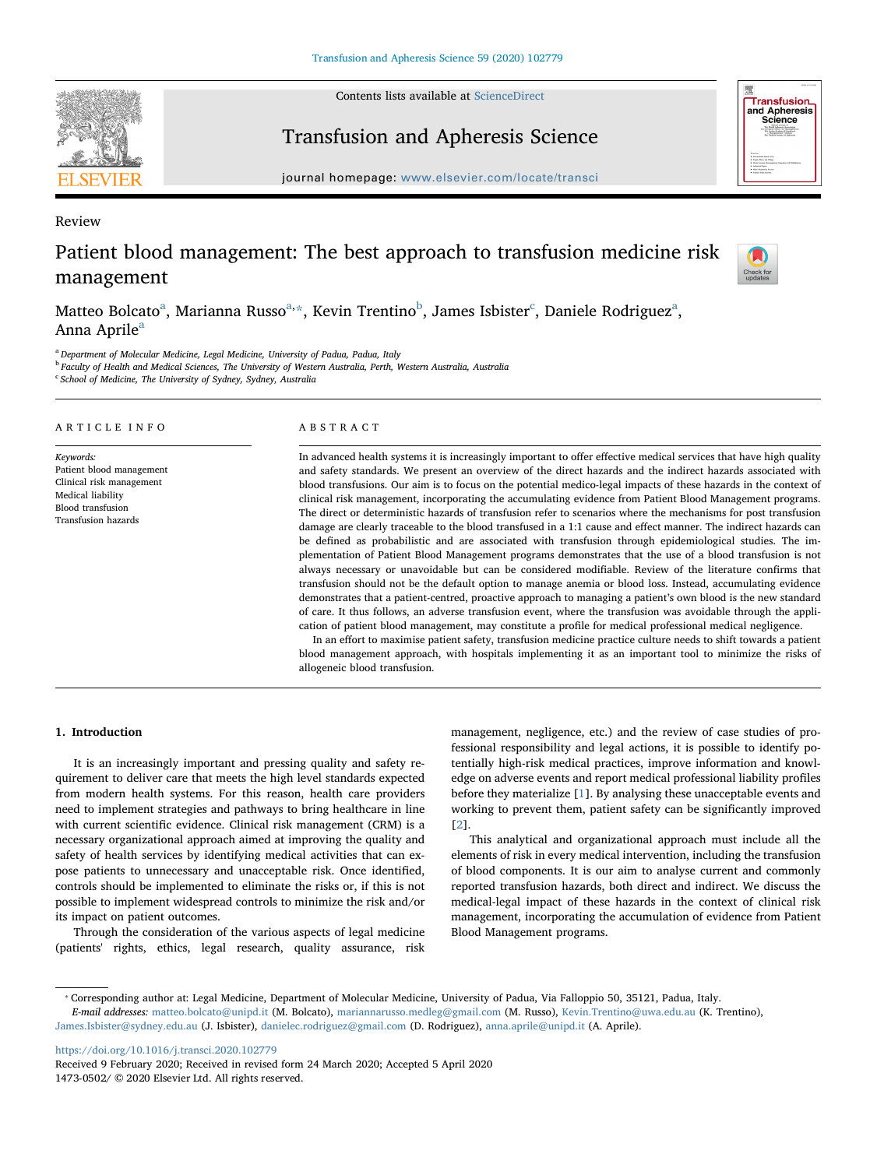Contents lists available at [ScienceDirect](http://www.sciencedirect.com/science/journal/14730502)



# Transfusion and Apheresis Science



**Transfusion** and Apheresis<br>Science

## Review Patient blood management: The best approach to transfusion medicine risk management



M[a](#page-0-0)tteo Bol[c](#page-0-3)ato $^{\rm a}$ , Marianna Russo $^{\rm a, \ast}$ , Kevin Trentino $^{\rm b}$  $^{\rm b}$  $^{\rm b}$ , James Isbister $^{\rm c}$ , Daniele Rodriguez $^{\rm a}$ , Ann[a](#page-0-0) Aprile<sup>a</sup>

<span id="page-0-0"></span><sup>a</sup> Department of Molecular Medicine, Legal Medicine, University of Padua, Padua, Italy

<span id="page-0-2"></span> $^{\rm b}$  Faculty of Health and Medical Sciences, The University of Western Australia, Perth, Western Australia, Australia

<span id="page-0-3"></span><sup>c</sup> School of Medicine, The University of Sydney, Sydney, Australia

#### ARTICLE INFO Keywords: Patient blood management Clinical risk management Medical liability Blood transfusion Transfusion hazards ABSTRACT In advanced health systems it is increasingly important to offer effective medical services that have high quality and safety standards. We present an overview of the direct hazards and the indirect hazards associated with blood transfusions. Our aim is to focus on the potential medico-legal impacts of these hazards in the context of clinical risk management, incorporating the accumulating evidence from Patient Blood Management programs. The direct or deterministic hazards of transfusion refer to scenarios where the mechanisms for post transfusion damage are clearly traceable to the blood transfused in a 1:1 cause and effect manner. The indirect hazards can be defined as probabilistic and are associated with transfusion through epidemiological studies. The implementation of Patient Blood Management programs demonstrates that the use of a blood transfusion is not always necessary or unavoidable but can be considered modifiable. Review of the literature confirms that transfusion should not be the default option to manage anemia or blood loss. Instead, accumulating evidence demonstrates that a patient-centred, proactive approach to managing a patient's own blood is the new standard of care. It thus follows, an adverse transfusion event, where the transfusion was avoidable through the appli-

In an effort to maximise patient safety, transfusion medicine practice culture needs to shift towards a patient blood management approach, with hospitals implementing it as an important tool to minimize the risks of allogeneic blood transfusion.

cation of patient blood management, may constitute a profile for medical professional medical negligence.

## 1. Introduction

It is an increasingly important and pressing quality and safety requirement to deliver care that meets the high level standards expected from modern health systems. For this reason, health care providers need to implement strategies and pathways to bring healthcare in line with current scientific evidence. Clinical risk management (CRM) is a necessary organizational approach aimed at improving the quality and safety of health services by identifying medical activities that can expose patients to unnecessary and unacceptable risk. Once identified, controls should be implemented to eliminate the risks or, if this is not possible to implement widespread controls to minimize the risk and/or its impact on patient outcomes.

Through the consideration of the various aspects of legal medicine (patients' rights, ethics, legal research, quality assurance, risk

management, negligence, etc.) and the review of case studies of professional responsibility and legal actions, it is possible to identify potentially high-risk medical practices, improve information and knowledge on adverse events and report medical professional liability profiles before they materialize [\[1\]](#page-5-0). By analysing these unacceptable events and working to prevent them, patient safety can be significantly improved [[2](#page-5-1)].

This analytical and organizational approach must include all the elements of risk in every medical intervention, including the transfusion of blood components. It is our aim to analyse current and commonly reported transfusion hazards, both direct and indirect. We discuss the medical-legal impact of these hazards in the context of clinical risk management, incorporating the accumulation of evidence from Patient Blood Management programs.

<https://doi.org/10.1016/j.transci.2020.102779>

<span id="page-0-1"></span><sup>⁎</sup> Corresponding author at: Legal Medicine, Department of Molecular Medicine, University of Padua, Via Falloppio 50, 35121, Padua, Italy.

E-mail addresses: [matteo.bolcato@unipd.it](mailto:matteo.bolcato@unipd.it) (M. Bolcato), [mariannarusso.medleg@gmail.com](mailto:mariannarusso.medleg@gmail.com) (M. Russo), [Kevin.Trentino@uwa.edu.au](mailto:Kevin.Trentino@uwa.edu.au) (K. Trentino), [James.Isbister@sydney.edu.au](mailto:James.Isbister@sydney.edu.au) (J. Isbister), [danielec.rodriguez@gmail.com](mailto:danielec.rodriguez@gmail.com) (D. Rodriguez), [anna.aprile@unipd.it](mailto:anna.aprile@unipd.it) (A. Aprile).

Received 9 February 2020; Received in revised form 24 March 2020; Accepted 5 April 2020 1473-0502/ © 2020 Elsevier Ltd. All rights reserved.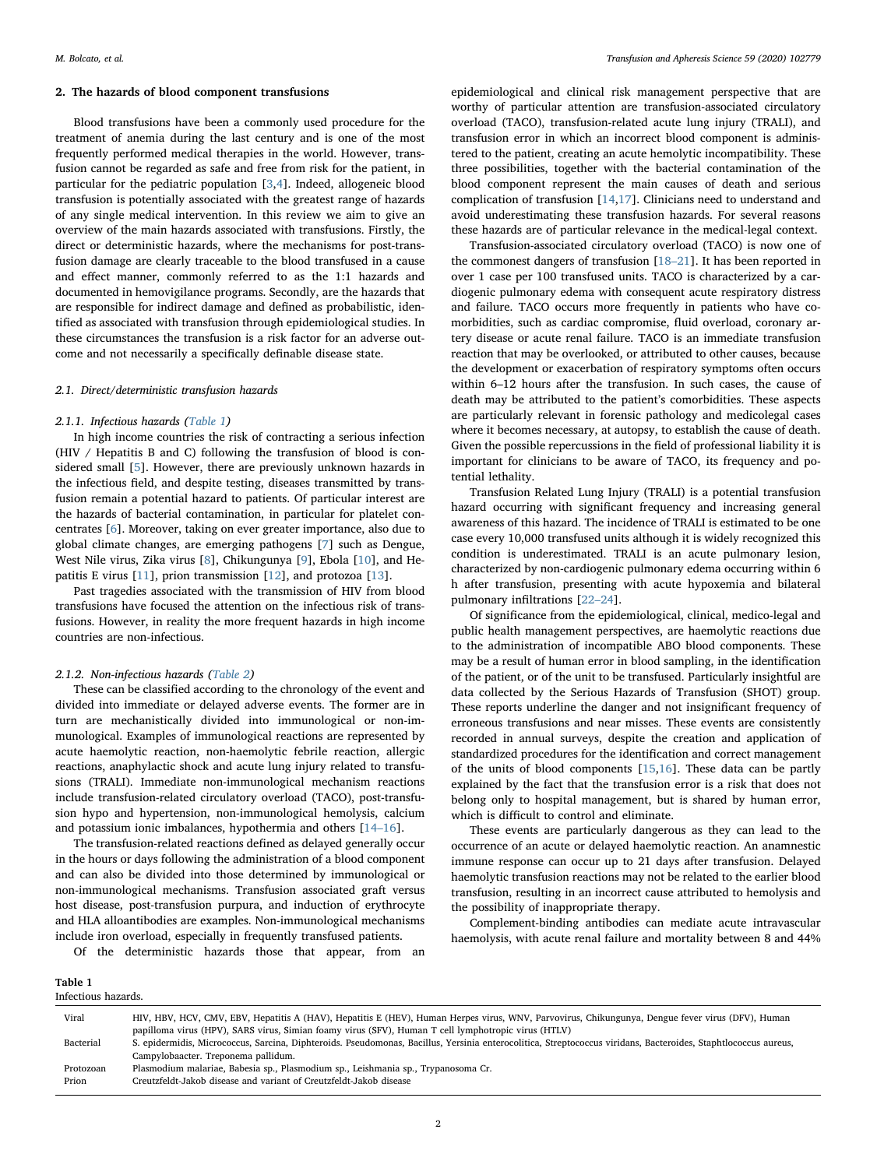### 2. The hazards of blood component transfusions

Blood transfusions have been a commonly used procedure for the treatment of anemia during the last century and is one of the most frequently performed medical therapies in the world. However, transfusion cannot be regarded as safe and free from risk for the patient, in particular for the pediatric population [\[3,](#page-5-2)[4](#page-5-3)]. Indeed, allogeneic blood transfusion is potentially associated with the greatest range of hazards of any single medical intervention. In this review we aim to give an overview of the main hazards associated with transfusions. Firstly, the direct or deterministic hazards, where the mechanisms for post-transfusion damage are clearly traceable to the blood transfused in a cause and effect manner, commonly referred to as the 1:1 hazards and documented in hemovigilance programs. Secondly, are the hazards that are responsible for indirect damage and defined as probabilistic, identified as associated with transfusion through epidemiological studies. In these circumstances the transfusion is a risk factor for an adverse outcome and not necessarily a specifically definable disease state.

## 2.1. Direct/deterministic transfusion hazards

## 2.1.1. Infectious hazards [\(Table 1\)](#page-1-0)

In high income countries the risk of contracting a serious infection (HIV / Hepatitis B and C) following the transfusion of blood is considered small [\[5\]](#page-5-4). However, there are previously unknown hazards in the infectious field, and despite testing, diseases transmitted by transfusion remain a potential hazard to patients. Of particular interest are the hazards of bacterial contamination, in particular for platelet concentrates [\[6](#page-5-5)]. Moreover, taking on ever greater importance, also due to global climate changes, are emerging pathogens [[7](#page-5-6)] such as Dengue, West Nile virus, Zika virus [[8](#page-5-7)], Chikungunya [\[9\]](#page-5-8), Ebola [\[10](#page-5-9)], and Hepatitis E virus [[11\]](#page-5-10), prion transmission [\[12](#page-5-11)], and protozoa [\[13](#page-5-12)].

Past tragedies associated with the transmission of HIV from blood transfusions have focused the attention on the infectious risk of transfusions. However, in reality the more frequent hazards in high income countries are non-infectious.

## 2.1.2. Non-infectious hazards [\(Table 2\)](#page-2-0)

These can be classified according to the chronology of the event and divided into immediate or delayed adverse events. The former are in turn are mechanistically divided into immunological or non-immunological. Examples of immunological reactions are represented by acute haemolytic reaction, non-haemolytic febrile reaction, allergic reactions, anaphylactic shock and acute lung injury related to transfusions (TRALI). Immediate non-immunological mechanism reactions include transfusion-related circulatory overload (TACO), post-transfusion hypo and hypertension, non-immunological hemolysis, calcium and potassium ionic imbalances, hypothermia and others [\[14](#page-5-13)–16].

The transfusion-related reactions defined as delayed generally occur in the hours or days following the administration of a blood component and can also be divided into those determined by immunological or non-immunological mechanisms. Transfusion associated graft versus host disease, post-transfusion purpura, and induction of erythrocyte and HLA alloantibodies are examples. Non-immunological mechanisms include iron overload, especially in frequently transfused patients.

Of the deterministic hazards those that appear, from an

epidemiological and clinical risk management perspective that are worthy of particular attention are transfusion-associated circulatory overload (TACO), transfusion-related acute lung injury (TRALI), and transfusion error in which an incorrect blood component is administered to the patient, creating an acute hemolytic incompatibility. These three possibilities, together with the bacterial contamination of the blood component represent the main causes of death and serious complication of transfusion [[14](#page-5-13)[,17](#page-5-14)]. Clinicians need to understand and avoid underestimating these transfusion hazards. For several reasons these hazards are of particular relevance in the medical-legal context.

Transfusion-associated circulatory overload (TACO) is now one of the commonest dangers of transfusion [\[18](#page-5-15)–21]. It has been reported in over 1 case per 100 transfused units. TACO is characterized by a cardiogenic pulmonary edema with consequent acute respiratory distress and failure. TACO occurs more frequently in patients who have comorbidities, such as cardiac compromise, fluid overload, coronary artery disease or acute renal failure. TACO is an immediate transfusion reaction that may be overlooked, or attributed to other causes, because the development or exacerbation of respiratory symptoms often occurs within 6–12 hours after the transfusion. In such cases, the cause of death may be attributed to the patient's comorbidities. These aspects are particularly relevant in forensic pathology and medicolegal cases where it becomes necessary, at autopsy, to establish the cause of death. Given the possible repercussions in the field of professional liability it is important for clinicians to be aware of TACO, its frequency and potential lethality.

Transfusion Related Lung Injury (TRALI) is a potential transfusion hazard occurring with significant frequency and increasing general awareness of this hazard. The incidence of TRALI is estimated to be one case every 10,000 transfused units although it is widely recognized this condition is underestimated. TRALI is an acute pulmonary lesion, characterized by non-cardiogenic pulmonary edema occurring within 6 h after transfusion, presenting with acute hypoxemia and bilateral pulmonary infiltrations [22–[24\]](#page-5-16).

Of significance from the epidemiological, clinical, medico-legal and public health management perspectives, are haemolytic reactions due to the administration of incompatible ABO blood components. These may be a result of human error in blood sampling, in the identification of the patient, or of the unit to be transfused. Particularly insightful are data collected by the Serious Hazards of Transfusion (SHOT) group. These reports underline the danger and not insignificant frequency of erroneous transfusions and near misses. These events are consistently recorded in annual surveys, despite the creation and application of standardized procedures for the identification and correct management of the units of blood components [[15](#page-5-17),[16\]](#page-5-18). These data can be partly explained by the fact that the transfusion error is a risk that does not belong only to hospital management, but is shared by human error, which is difficult to control and eliminate.

These events are particularly dangerous as they can lead to the occurrence of an acute or delayed haemolytic reaction. An anamnestic immune response can occur up to 21 days after transfusion. Delayed haemolytic transfusion reactions may not be related to the earlier blood transfusion, resulting in an incorrect cause attributed to hemolysis and the possibility of inappropriate therapy.

Complement-binding antibodies can mediate acute intravascular haemolysis, with acute renal failure and mortality between 8 and 44%

<span id="page-1-0"></span>Table 1

| Infectious hazards. |                                                                                                                                                                                                                                                         |  |  |
|---------------------|---------------------------------------------------------------------------------------------------------------------------------------------------------------------------------------------------------------------------------------------------------|--|--|
| Viral               | HIV, HBV, HCV, CMV, EBV, Hepatitis A (HAV), Hepatitis E (HEV), Human Herpes virus, WNV, Parvovirus, Chikungunya, Dengue fever virus (DFV), Human<br>papilloma virus (HPV), SARS virus, Simian foamy virus (SFV), Human T cell lymphotropic virus (HTLV) |  |  |
| Bacterial           | S. epidermidis, Micrococcus, Sarcina, Diphteroids. Pseudomonas, Bacillus, Yersinia enterocolitica, Streptococcus viridans, Bacteroides, Staphtlococcus aureus,<br>Campylobaacter. Treponema pallidum.                                                   |  |  |
| Protozoan<br>Prion  | Plasmodium malariae, Babesia sp., Plasmodium sp., Leishmania sp., Trypanosoma Cr.<br>Creutzfeldt-Jakob disease and variant of Creutzfeldt-Jakob disease                                                                                                 |  |  |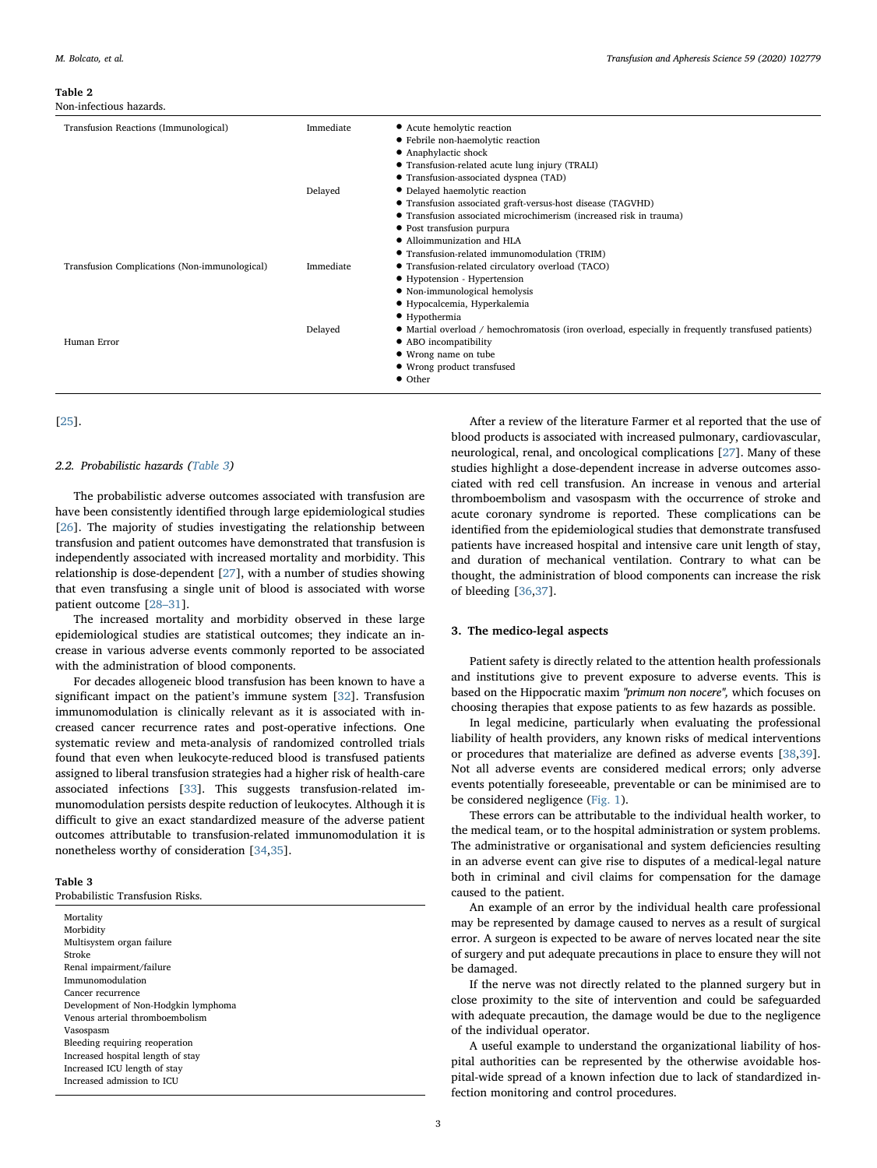#### <span id="page-2-0"></span>Table 2

Non-infectious hazards.

| Transfusion Reactions (Immunological)         | Immediate<br>Delayed | • Acute hemolytic reaction<br>• Febrile non-haemolytic reaction<br>• Anaphylactic shock<br>• Transfusion-related acute lung injury (TRALI)<br>• Transfusion-associated dyspnea (TAD)<br>• Delayed haemolytic reaction<br>• Transfusion associated graft-versus-host disease (TAGVHD)<br>• Transfusion associated microchimerism (increased risk in trauma)<br>• Post transfusion purpura |
|-----------------------------------------------|----------------------|------------------------------------------------------------------------------------------------------------------------------------------------------------------------------------------------------------------------------------------------------------------------------------------------------------------------------------------------------------------------------------------|
| Transfusion Complications (Non-immunological) | Immediate            | • Alloimmunization and HLA<br>• Transfusion-related immunomodulation (TRIM)<br>• Transfusion-related circulatory overload (TACO)<br>$\bullet$ Hypotension - Hypertension<br>• Non-immunological hemolysis<br>· Hypocalcemia, Hyperkalemia                                                                                                                                                |
| Human Error                                   | Delayed              | $\bullet$ Hypothermia<br>• Martial overload / hemochromatosis (iron overload, especially in frequently transfused patients)<br>• ABO incompatibility<br>• Wrong name on tube<br>• Wrong product transfused<br>• Other                                                                                                                                                                    |

## [[25\]](#page-5-19).

## 2.2. Probabilistic hazards ([Table 3\)](#page-2-1)

The probabilistic adverse outcomes associated with transfusion are have been consistently identified through large epidemiological studies [[26\]](#page-5-20). The majority of studies investigating the relationship between transfusion and patient outcomes have demonstrated that transfusion is independently associated with increased mortality and morbidity. This relationship is dose-dependent [\[27](#page-5-21)], with a number of studies showing that even transfusing a single unit of blood is associated with worse patient outcome [\[28](#page-5-22)–31].

The increased mortality and morbidity observed in these large epidemiological studies are statistical outcomes; they indicate an increase in various adverse events commonly reported to be associated with the administration of blood components.

For decades allogeneic blood transfusion has been known to have a significant impact on the patient's immune system [\[32](#page-5-23)]. Transfusion immunomodulation is clinically relevant as it is associated with increased cancer recurrence rates and post-operative infections. One systematic review and meta-analysis of randomized controlled trials found that even when leukocyte-reduced blood is transfused patients assigned to liberal transfusion strategies had a higher risk of health-care associated infections [[33\]](#page-5-24). This suggests transfusion-related immunomodulation persists despite reduction of leukocytes. Although it is difficult to give an exact standardized measure of the adverse patient outcomes attributable to transfusion-related immunomodulation it is nonetheless worthy of consideration [[34,](#page-5-25)[35\]](#page-5-26).

## <span id="page-2-1"></span>Table 3

Probabilistic Transfusion Risks.

**Mortality Morbidity** Multisystem organ failure Stroke Renal impairment/failure Immunomodulation Cancer recurrence Development of Non-Hodgkin lymphoma Venous arterial thromboembolism Vasospasm Bleeding requiring reoperation Increased hospital length of stay Increased ICU length of stay Increased admission to ICU

After a review of the literature Farmer et al reported that the use of blood products is associated with increased pulmonary, cardiovascular, neurological, renal, and oncological complications [[27\]](#page-5-21). Many of these studies highlight a dose-dependent increase in adverse outcomes associated with red cell transfusion. An increase in venous and arterial thromboembolism and vasospasm with the occurrence of stroke and acute coronary syndrome is reported. These complications can be identified from the epidemiological studies that demonstrate transfused patients have increased hospital and intensive care unit length of stay, and duration of mechanical ventilation. Contrary to what can be thought, the administration of blood components can increase the risk of bleeding [\[36](#page-5-27),[37\]](#page-5-28).

## 3. The medico-legal aspects

Patient safety is directly related to the attention health professionals and institutions give to prevent exposure to adverse events. This is based on the Hippocratic maxim "primum non nocere", which focuses on choosing therapies that expose patients to as few hazards as possible.

In legal medicine, particularly when evaluating the professional liability of health providers, any known risks of medical interventions or procedures that materialize are defined as adverse events [[38,](#page-5-29)[39](#page-5-30)]. Not all adverse events are considered medical errors; only adverse events potentially foreseeable, preventable or can be minimised are to be considered negligence ([Fig. 1\)](#page-3-0).

These errors can be attributable to the individual health worker, to the medical team, or to the hospital administration or system problems. The administrative or organisational and system deficiencies resulting in an adverse event can give rise to disputes of a medical-legal nature both in criminal and civil claims for compensation for the damage caused to the patient.

An example of an error by the individual health care professional may be represented by damage caused to nerves as a result of surgical error. A surgeon is expected to be aware of nerves located near the site of surgery and put adequate precautions in place to ensure they will not be damaged.

If the nerve was not directly related to the planned surgery but in close proximity to the site of intervention and could be safeguarded with adequate precaution, the damage would be due to the negligence of the individual operator.

A useful example to understand the organizational liability of hospital authorities can be represented by the otherwise avoidable hospital-wide spread of a known infection due to lack of standardized infection monitoring and control procedures.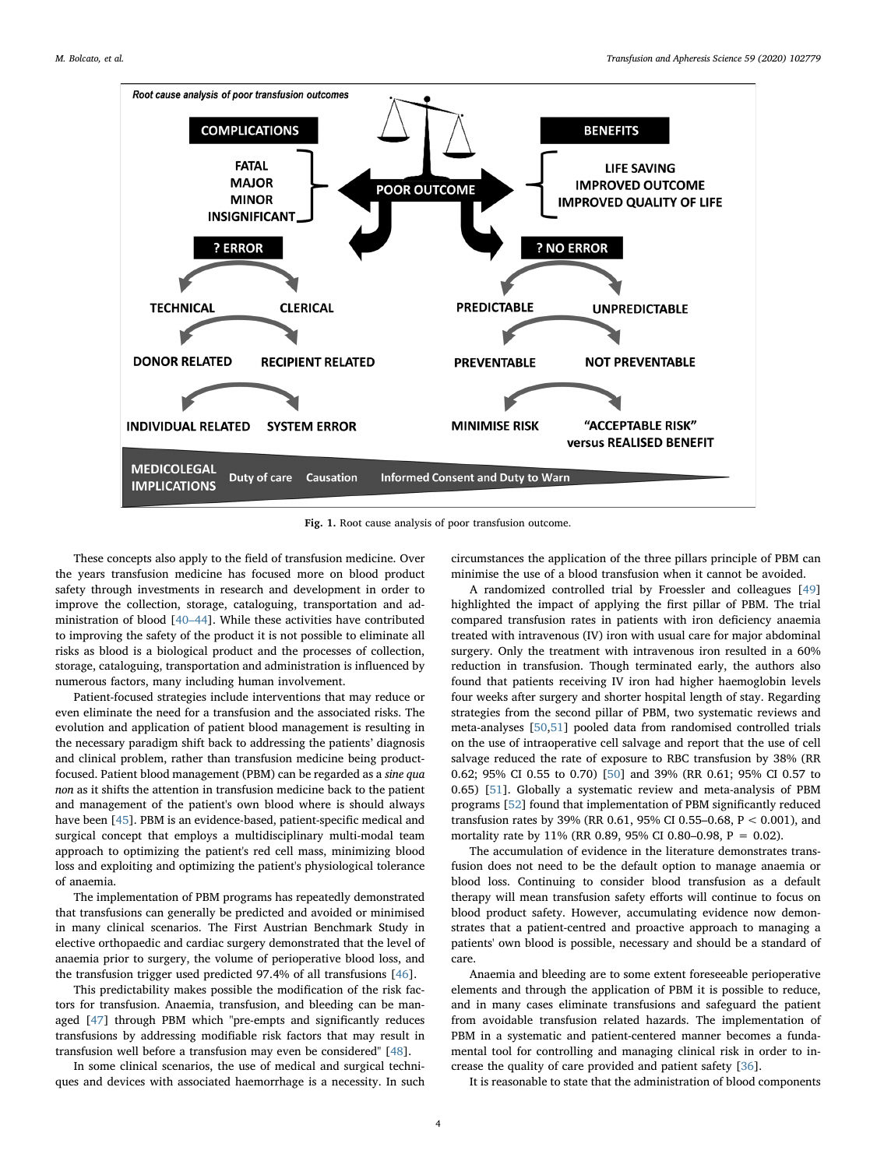<span id="page-3-0"></span>

Fig. 1. Root cause analysis of poor transfusion outcome.

These concepts also apply to the field of transfusion medicine. Over the years transfusion medicine has focused more on blood product safety through investments in research and development in order to improve the collection, storage, cataloguing, transportation and administration of blood [\[40](#page-5-31)–44]. While these activities have contributed to improving the safety of the product it is not possible to eliminate all risks as blood is a biological product and the processes of collection, storage, cataloguing, transportation and administration is influenced by numerous factors, many including human involvement.

Patient-focused strategies include interventions that may reduce or even eliminate the need for a transfusion and the associated risks. The evolution and application of patient blood management is resulting in the necessary paradigm shift back to addressing the patients' diagnosis and clinical problem, rather than transfusion medicine being productfocused. Patient blood management (PBM) can be regarded as a sine qua non as it shifts the attention in transfusion medicine back to the patient and management of the patient's own blood where is should always have been [[45\]](#page-5-32). PBM is an evidence-based, patient-specific medical and surgical concept that employs a multidisciplinary multi-modal team approach to optimizing the patient's red cell mass, minimizing blood loss and exploiting and optimizing the patient's physiological tolerance of anaemia.

The implementation of PBM programs has repeatedly demonstrated that transfusions can generally be predicted and avoided or minimised in many clinical scenarios. The First Austrian Benchmark Study in elective orthopaedic and cardiac surgery demonstrated that the level of anaemia prior to surgery, the volume of perioperative blood loss, and the transfusion trigger used predicted 97.4% of all transfusions [[46\]](#page-5-33).

This predictability makes possible the modification of the risk factors for transfusion. Anaemia, transfusion, and bleeding can be managed [[47\]](#page-5-34) through PBM which "pre-empts and significantly reduces transfusions by addressing modifiable risk factors that may result in transfusion well before a transfusion may even be considered" [\[48](#page-5-35)].

In some clinical scenarios, the use of medical and surgical techniques and devices with associated haemorrhage is a necessity. In such circumstances the application of the three pillars principle of PBM can minimise the use of a blood transfusion when it cannot be avoided.

A randomized controlled trial by Froessler and colleagues [\[49](#page-5-36)] highlighted the impact of applying the first pillar of PBM. The trial compared transfusion rates in patients with iron deficiency anaemia treated with intravenous (IV) iron with usual care for major abdominal surgery. Only the treatment with intravenous iron resulted in a 60% reduction in transfusion. Though terminated early, the authors also found that patients receiving IV iron had higher haemoglobin levels four weeks after surgery and shorter hospital length of stay. Regarding strategies from the second pillar of PBM, two systematic reviews and meta-analyses [[50,](#page-5-37)[51](#page-5-38)] pooled data from randomised controlled trials on the use of intraoperative cell salvage and report that the use of cell salvage reduced the rate of exposure to RBC transfusion by 38% (RR 0.62; 95% CI 0.55 to 0.70) [[50\]](#page-5-37) and 39% (RR 0.61; 95% CI 0.57 to 0.65) [[51\]](#page-5-38). Globally a systematic review and meta-analysis of PBM programs [\[52](#page-5-39)] found that implementation of PBM significantly reduced transfusion rates by 39% (RR 0.61, 95% CI 0.55–0.68, P < 0.001), and mortality rate by 11% (RR 0.89, 95% CI 0.80–0.98, P = 0.02).

The accumulation of evidence in the literature demonstrates transfusion does not need to be the default option to manage anaemia or blood loss. Continuing to consider blood transfusion as a default therapy will mean transfusion safety efforts will continue to focus on blood product safety. However, accumulating evidence now demonstrates that a patient-centred and proactive approach to managing a patients' own blood is possible, necessary and should be a standard of care.

Anaemia and bleeding are to some extent foreseeable perioperative elements and through the application of PBM it is possible to reduce, and in many cases eliminate transfusions and safeguard the patient from avoidable transfusion related hazards. The implementation of PBM in a systematic and patient-centered manner becomes a fundamental tool for controlling and managing clinical risk in order to increase the quality of care provided and patient safety [\[36](#page-5-27)].

It is reasonable to state that the administration of blood components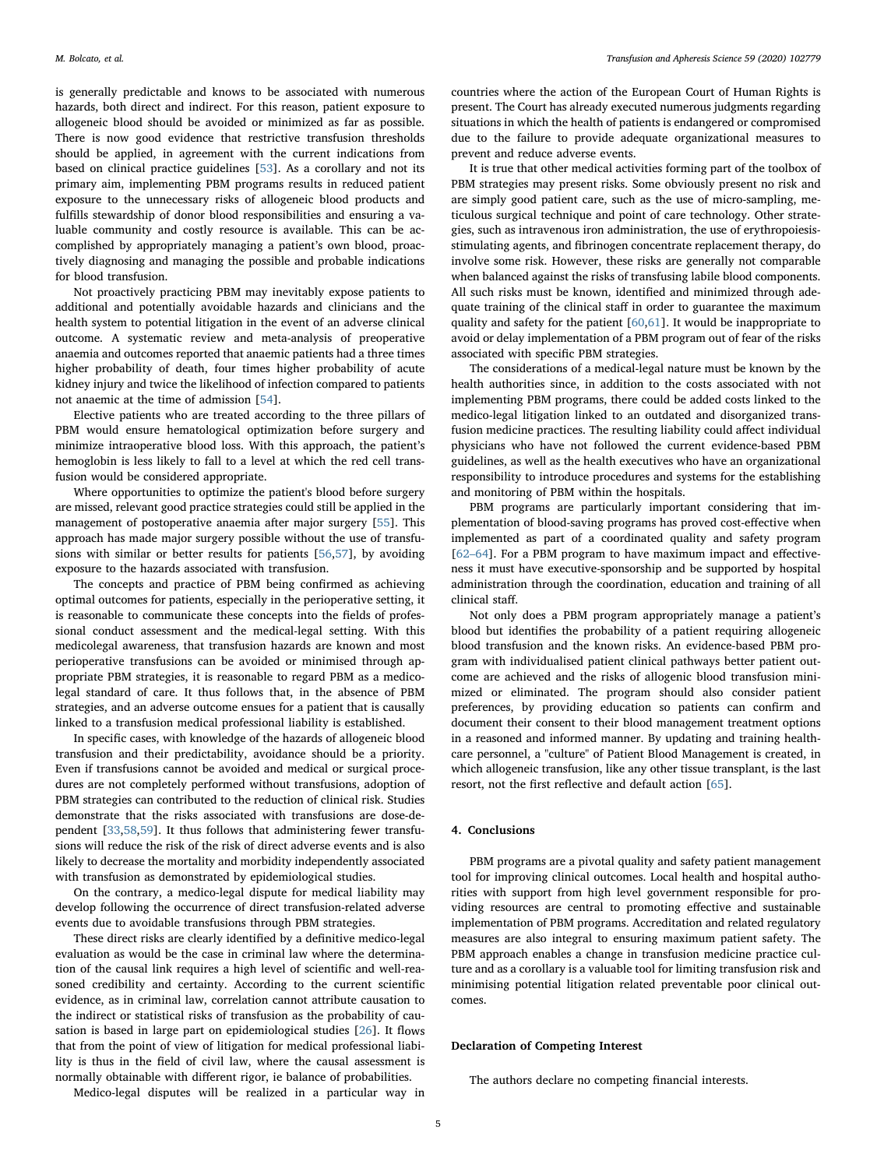is generally predictable and knows to be associated with numerous hazards, both direct and indirect. For this reason, patient exposure to allogeneic blood should be avoided or minimized as far as possible. There is now good evidence that restrictive transfusion thresholds should be applied, in agreement with the current indications from based on clinical practice guidelines [\[53](#page-5-40)]. As a corollary and not its primary aim, implementing PBM programs results in reduced patient exposure to the unnecessary risks of allogeneic blood products and fulfills stewardship of donor blood responsibilities and ensuring a valuable community and costly resource is available. This can be accomplished by appropriately managing a patient's own blood, proactively diagnosing and managing the possible and probable indications for blood transfusion.

Not proactively practicing PBM may inevitably expose patients to additional and potentially avoidable hazards and clinicians and the health system to potential litigation in the event of an adverse clinical outcome. A systematic review and meta-analysis of preoperative anaemia and outcomes reported that anaemic patients had a three times higher probability of death, four times higher probability of acute kidney injury and twice the likelihood of infection compared to patients not anaemic at the time of admission [[54\]](#page-5-41).

Elective patients who are treated according to the three pillars of PBM would ensure hematological optimization before surgery and minimize intraoperative blood loss. With this approach, the patient's hemoglobin is less likely to fall to a level at which the red cell transfusion would be considered appropriate.

Where opportunities to optimize the patient's blood before surgery are missed, relevant good practice strategies could still be applied in the management of postoperative anaemia after major surgery [\[55\]](#page-5-42). This approach has made major surgery possible without the use of transfusions with similar or better results for patients [[56](#page-6-0),[57\]](#page-6-1), by avoiding exposure to the hazards associated with transfusion.

The concepts and practice of PBM being confirmed as achieving optimal outcomes for patients, especially in the perioperative setting, it is reasonable to communicate these concepts into the fields of professional conduct assessment and the medical-legal setting. With this medicolegal awareness, that transfusion hazards are known and most perioperative transfusions can be avoided or minimised through appropriate PBM strategies, it is reasonable to regard PBM as a medicolegal standard of care. It thus follows that, in the absence of PBM strategies, and an adverse outcome ensues for a patient that is causally linked to a transfusion medical professional liability is established.

In specific cases, with knowledge of the hazards of allogeneic blood transfusion and their predictability, avoidance should be a priority. Even if transfusions cannot be avoided and medical or surgical procedures are not completely performed without transfusions, adoption of PBM strategies can contributed to the reduction of clinical risk. Studies demonstrate that the risks associated with transfusions are dose-dependent [[33,](#page-5-24)[58](#page-6-2)[,59](#page-6-3)]. It thus follows that administering fewer transfusions will reduce the risk of the risk of direct adverse events and is also likely to decrease the mortality and morbidity independently associated with transfusion as demonstrated by epidemiological studies.

On the contrary, a medico-legal dispute for medical liability may develop following the occurrence of direct transfusion-related adverse events due to avoidable transfusions through PBM strategies.

These direct risks are clearly identified by a definitive medico-legal evaluation as would be the case in criminal law where the determination of the causal link requires a high level of scientific and well-reasoned credibility and certainty. According to the current scientific evidence, as in criminal law, correlation cannot attribute causation to the indirect or statistical risks of transfusion as the probability of causation is based in large part on epidemiological studies [[26\]](#page-5-20). It flows that from the point of view of litigation for medical professional liability is thus in the field of civil law, where the causal assessment is normally obtainable with different rigor, ie balance of probabilities.

countries where the action of the European Court of Human Rights is present. The Court has already executed numerous judgments regarding situations in which the health of patients is endangered or compromised due to the failure to provide adequate organizational measures to prevent and reduce adverse events.

It is true that other medical activities forming part of the toolbox of PBM strategies may present risks. Some obviously present no risk and are simply good patient care, such as the use of micro-sampling, meticulous surgical technique and point of care technology. Other strategies, such as intravenous iron administration, the use of erythropoiesisstimulating agents, and fibrinogen concentrate replacement therapy, do involve some risk. However, these risks are generally not comparable when balanced against the risks of transfusing labile blood components. All such risks must be known, identified and minimized through adequate training of the clinical staff in order to guarantee the maximum quality and safety for the patient [\[60](#page-6-4)[,61](#page-6-5)]. It would be inappropriate to avoid or delay implementation of a PBM program out of fear of the risks associated with specific PBM strategies.

The considerations of a medical-legal nature must be known by the health authorities since, in addition to the costs associated with not implementing PBM programs, there could be added costs linked to the medico-legal litigation linked to an outdated and disorganized transfusion medicine practices. The resulting liability could affect individual physicians who have not followed the current evidence-based PBM guidelines, as well as the health executives who have an organizational responsibility to introduce procedures and systems for the establishing and monitoring of PBM within the hospitals.

PBM programs are particularly important considering that implementation of blood-saving programs has proved cost-effective when implemented as part of a coordinated quality and safety program [62–[64\]](#page-6-6). For a PBM program to have maximum impact and effectiveness it must have executive-sponsorship and be supported by hospital administration through the coordination, education and training of all clinical staff.

Not only does a PBM program appropriately manage a patient's blood but identifies the probability of a patient requiring allogeneic blood transfusion and the known risks. An evidence-based PBM program with individualised patient clinical pathways better patient outcome are achieved and the risks of allogenic blood transfusion minimized or eliminated. The program should also consider patient preferences, by providing education so patients can confirm and document their consent to their blood management treatment options in a reasoned and informed manner. By updating and training healthcare personnel, a "culture" of Patient Blood Management is created, in which allogeneic transfusion, like any other tissue transplant, is the last resort, not the first reflective and default action [[65\]](#page-6-7).

## 4. Conclusions

PBM programs are a pivotal quality and safety patient management tool for improving clinical outcomes. Local health and hospital authorities with support from high level government responsible for providing resources are central to promoting effective and sustainable implementation of PBM programs. Accreditation and related regulatory measures are also integral to ensuring maximum patient safety. The PBM approach enables a change in transfusion medicine practice culture and as a corollary is a valuable tool for limiting transfusion risk and minimising potential litigation related preventable poor clinical outcomes.

## Declaration of Competing Interest

The authors declare no competing financial interests.

Medico-legal disputes will be realized in a particular way in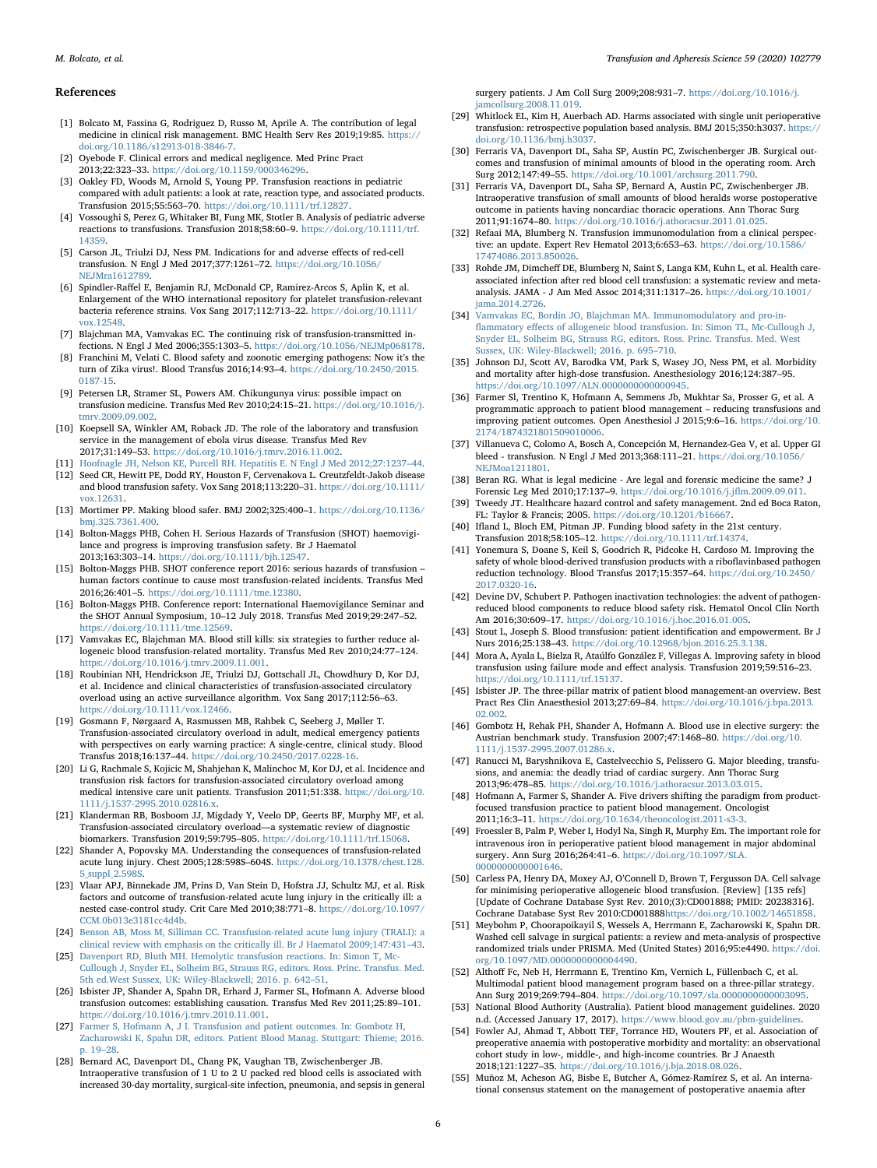## References

- <span id="page-5-0"></span>[1] Bolcato M, Fassina G, Rodriguez D, Russo M, Aprile A. The contribution of legal medicine in clinical risk management. BMC Health Serv Res 2019;19:85. [https://](https://doi.org/10.1186/s12913-018-3846-7) [doi.org/10.1186/s12913-018-3846-7.](https://doi.org/10.1186/s12913-018-3846-7)
- <span id="page-5-1"></span>[2] Oyebode F. Clinical errors and medical negligence. Med Princ Pract 2013;22:323–33. [https://doi.org/10.1159/000346296.](https://doi.org/10.1159/000346296)
- <span id="page-5-2"></span>[3] Oakley FD, Woods M, Arnold S, Young PP. Transfusion reactions in pediatric compared with adult patients: a look at rate, reaction type, and associated products. Transfusion 2015;55:563–70. [https://doi.org/10.1111/trf.12827.](https://doi.org/10.1111/trf.12827)
- <span id="page-5-3"></span>[4] Vossoughi S, Perez G, Whitaker BI, Fung MK, Stotler B. Analysis of pediatric adverse reactions to transfusions. Transfusion 2018;58:60–9. [https://doi.org/10.1111/trf.](https://doi.org/10.1111/trf.14359) [14359.](https://doi.org/10.1111/trf.14359)
- <span id="page-5-4"></span>[5] Carson JL, Triulzi DJ, Ness PM. Indications for and adverse effects of red-cell transfusion. N Engl J Med 2017;377:1261–72. [https://doi.org/10.1056/](https://doi.org/10.1056/NEJMra1612789) [NEJMra1612789.](https://doi.org/10.1056/NEJMra1612789)
- <span id="page-5-5"></span>[6] Spindler-Raffel E, Benjamin RJ, McDonald CP, Ramirez-Arcos S, Aplin K, et al. Enlargement of the WHO international repository for platelet transfusion-relevant bacteria reference strains. Vox Sang 2017;112:713–22. [https://doi.org/10.1111/](https://doi.org/10.1111/vox.12548) [vox.12548.](https://doi.org/10.1111/vox.12548)
- <span id="page-5-6"></span>[7] Blajchman MA, Vamvakas EC. The continuing risk of transfusion-transmitted infections. N Engl J Med 2006;355:1303–5. [https://doi.org/10.1056/NEJMp068178.](https://doi.org/10.1056/NEJMp068178)
- <span id="page-5-7"></span>[8] Franchini M, Velati C. Blood safety and zoonotic emerging pathogens: Now it's the turn of Zika virus!. Blood Transfus 2016;14:93–4. [https://doi.org/10.2450/2015.](https://doi.org/10.2450/2015.0187-15) [0187-15.](https://doi.org/10.2450/2015.0187-15)
- <span id="page-5-8"></span>[9] Petersen LR, Stramer SL, Powers AM. Chikungunya virus: possible impact on transfusion medicine. Transfus Med Rev 2010;24:15–21. [https://doi.org/10.1016/j.](https://doi.org/10.1016/j.tmrv.2009.09.002) [tmrv.2009.09.002.](https://doi.org/10.1016/j.tmrv.2009.09.002)
- <span id="page-5-9"></span>[10] Koepsell SA, Winkler AM, Roback JD. The role of the laboratory and transfusion service in the management of ebola virus disease. Transfus Med Rev 2017;31:149–53. [https://doi.org/10.1016/j.tmrv.2016.11.002.](https://doi.org/10.1016/j.tmrv.2016.11.002)
- <span id="page-5-10"></span>[11] [Hoofnagle JH, Nelson KE, Purcell RH. Hepatitis E. N Engl J Med 2012;27:1237](http://refhub.elsevier.com/S1473-0502(20)30068-9/sbref0055)–44.
- <span id="page-5-11"></span>[12] Seed CR, Hewitt PE, Dodd RY, Houston F, Cervenakova L. Creutzfeldt-Jakob disease and blood transfusion safety. Vox Sang 2018;113:220–31. [https://doi.org/10.1111/](https://doi.org/10.1111/vox.12631) [vox.12631.](https://doi.org/10.1111/vox.12631)
- <span id="page-5-12"></span>[13] Mortimer PP. Making blood safer. BMJ 2002;325:400–1. [https://doi.org/10.1136/](https://doi.org/10.1136/bmj.325.7361.400) [bmj.325.7361.400.](https://doi.org/10.1136/bmj.325.7361.400)
- <span id="page-5-13"></span>[14] Bolton-Maggs PHB, Cohen H. Serious Hazards of Transfusion (SHOT) haemovigilance and progress is improving transfusion safety. Br J Haematol 2013;163:303–14. [https://doi.org/10.1111/bjh.12547.](https://doi.org/10.1111/bjh.12547)
- <span id="page-5-17"></span>[15] Bolton-Maggs PHB. SHOT conference report 2016: serious hazards of transfusion – human factors continue to cause most transfusion-related incidents. Transfus Med 2016;26:401–5. [https://doi.org/10.1111/tme.12380.](https://doi.org/10.1111/tme.12380)
- <span id="page-5-18"></span>[16] Bolton-Maggs PHB. Conference report: International Haemovigilance Seminar and the SHOT Annual Symposium, 10–12 July 2018. Transfus Med 2019;29:247–52. [https://doi.org/10.1111/tme.12569.](https://doi.org/10.1111/tme.12569)
- <span id="page-5-14"></span>[17] Vamvakas EC, Blajchman MA. Blood still kills: six strategies to further reduce allogeneic blood transfusion-related mortality. Transfus Med Rev 2010;24:77–124. [https://doi.org/10.1016/j.tmrv.2009.11.001.](https://doi.org/10.1016/j.tmrv.2009.11.001)
- <span id="page-5-15"></span>[18] Roubinian NH, Hendrickson JE, Triulzi DJ, Gottschall JL, Chowdhury D, Kor DJ, et al. Incidence and clinical characteristics of transfusion-associated circulatory overload using an active surveillance algorithm. Vox Sang 2017;112:56–63. [https://doi.org/10.1111/vox.12466.](https://doi.org/10.1111/vox.12466)
- [19] Gosmann F, Nørgaard A, Rasmussen MB, Rahbek C, Seeberg J, Møller T. Transfusion-associated circulatory overload in adult, medical emergency patients with perspectives on early warning practice: A single-centre, clinical study. Blood Transfus 2018;16:137–44. [https://doi.org/10.2450/2017.0228-16.](https://doi.org/10.2450/2017.0228-16)
- [20] Li G, Rachmale S, Kojicic M, Shahjehan K, Malinchoc M, Kor DJ, et al. Incidence and transfusion risk factors for transfusion-associated circulatory overload among medical intensive care unit patients. Transfusion 2011;51:338. [https://doi.org/10.](https://doi.org/10.1111/j.1537-2995.2010.02816.x) [1111/j.1537-2995.2010.02816.x.](https://doi.org/10.1111/j.1537-2995.2010.02816.x)
- [21] Klanderman RB, Bosboom JJ, Migdady Y, Veelo DP, Geerts BF, Murphy MF, et al. Transfusion-associated circulatory overload—a systematic review of diagnostic biomarkers. Transfusion 2019;59:795–805. [https://doi.org/10.1111/trf.15068.](https://doi.org/10.1111/trf.15068)
- <span id="page-5-16"></span>[22] Shander A, Popovsky MA. Understanding the consequences of transfusion-related acute lung injury. Chest 2005;128:598S–604S. [https://doi.org/10.1378/chest.128.](https://doi.org/10.1378/chest.128.5_suppl_2.598S) [5\\_suppl\\_2.598S.](https://doi.org/10.1378/chest.128.5_suppl_2.598S)
- [23] Vlaar APJ, Binnekade JM, Prins D, Van Stein D, Hofstra JJ, Schultz MJ, et al. Risk factors and outcome of transfusion-related acute lung injury in the critically ill: a nested case-control study. Crit Care Med 2010;38:771–8. [https://doi.org/10.1097/](https://doi.org/10.1097/CCM.0b013e3181cc4d4b) [CCM.0b013e3181cc4d4b.](https://doi.org/10.1097/CCM.0b013e3181cc4d4b)
- [24] [Benson AB, Moss M, Silliman CC. Transfusion-related acute lung injury \(TRALI\): a](http://refhub.elsevier.com/S1473-0502(20)30068-9/sbref0120) [clinical review with emphasis on the critically ill. Br J Haematol 2009;147:431](http://refhub.elsevier.com/S1473-0502(20)30068-9/sbref0120)–43.
- <span id="page-5-19"></span>[25] [Davenport RD, Bluth MH. Hemolytic transfusion reactions. In: Simon T, Mc-](http://refhub.elsevier.com/S1473-0502(20)30068-9/sbref0125)[Cullough J, Snyder EL, Solheim BG, Strauss RG, editors. Ross. Princ. Transfus. Med.](http://refhub.elsevier.com/S1473-0502(20)30068-9/sbref0125) [5th ed.West Sussex, UK: Wiley-Blackwell; 2016. p. 642](http://refhub.elsevier.com/S1473-0502(20)30068-9/sbref0125)–51.
- <span id="page-5-20"></span>[26] Isbister JP, Shander A, Spahn DR, Erhard J, Farmer SL, Hofmann A. Adverse blood transfusion outcomes: establishing causation. Transfus Med Rev 2011;25:89–101. [https://doi.org/10.1016/j.tmrv.2010.11.001.](https://doi.org/10.1016/j.tmrv.2010.11.001)
- <span id="page-5-21"></span>[27] [Farmer S, Hofmann A, J I. Transfusion and patient outcomes. In: Gombotz H,](http://refhub.elsevier.com/S1473-0502(20)30068-9/sbref0135) [Zacharowski K, Spahn DR, editors. Patient Blood Manag. Stuttgart: Thieme; 2016.](http://refhub.elsevier.com/S1473-0502(20)30068-9/sbref0135) [p. 19](http://refhub.elsevier.com/S1473-0502(20)30068-9/sbref0135)–28.
- <span id="page-5-22"></span>[28] Bernard AC, Davenport DL, Chang PK, Vaughan TB, Zwischenberger JB. Intraoperative transfusion of 1 U to 2 U packed red blood cells is associated with increased 30-day mortality, surgical-site infection, pneumonia, and sepsis in general

surgery patients. J Am Coll Surg 2009;208:931–7. [https://doi.org/10.1016/j.](https://doi.org/10.1016/j.jamcollsurg.2008.11.019) [jamcollsurg.2008.11.019.](https://doi.org/10.1016/j.jamcollsurg.2008.11.019)

- [29] Whitlock EL, Kim H, Auerbach AD. Harms associated with single unit perioperative transfusion: retrospective population based analysis. BMJ 2015;350:h3037. [https://](https://doi.org/10.1136/bmj.h3037) [doi.org/10.1136/bmj.h3037.](https://doi.org/10.1136/bmj.h3037)
- [30] Ferraris VA, Davenport DL, Saha SP, Austin PC, Zwischenberger JB. Surgical outcomes and transfusion of minimal amounts of blood in the operating room. Arch Surg 2012;147:49–55. [https://doi.org/10.1001/archsurg.2011.790.](https://doi.org/10.1001/archsurg.2011.790)
- [31] Ferraris VA, Davenport DL, Saha SP, Bernard A, Austin PC, Zwischenberger JB. Intraoperative transfusion of small amounts of blood heralds worse postoperative outcome in patients having noncardiac thoracic operations. Ann Thorac Surg 2011;91:1674–80. [https://doi.org/10.1016/j.athoracsur.2011.01.025.](https://doi.org/10.1016/j.athoracsur.2011.01.025)
- <span id="page-5-23"></span>[32] Refaai MA, Blumberg N. Transfusion immunomodulation from a clinical perspective: an update. Expert Rev Hematol 2013;6:653–63. [https://doi.org/10.1586/](https://doi.org/10.1586/17474086.2013.850026) [17474086.2013.850026.](https://doi.org/10.1586/17474086.2013.850026)
- <span id="page-5-24"></span>[33] Rohde JM, Dimcheff DE, Blumberg N, Saint S, Langa KM, Kuhn L, et al. Health careassociated infection after red blood cell transfusion: a systematic review and metaanalysis. JAMA - J Am Med Assoc 2014;311:1317–26. [https://doi.org/10.1001/](https://doi.org/10.1001/jama.2014.2726) [jama.2014.2726.](https://doi.org/10.1001/jama.2014.2726)
- <span id="page-5-25"></span>[34] [Vamvakas EC, Bordin JO, Blajchman MA. Immunomodulatory and pro-in](http://refhub.elsevier.com/S1473-0502(20)30068-9/sbref0170)flammatory eff[ects of allogeneic blood transfusion. In: Simon TL, Mc-Cullough J,](http://refhub.elsevier.com/S1473-0502(20)30068-9/sbref0170) [Snyder EL, Solheim BG, Strauss RG, editors. Ross. Princ. Transfus. Med. West](http://refhub.elsevier.com/S1473-0502(20)30068-9/sbref0170) [Sussex, UK: Wiley-Blackwell; 2016. p. 695](http://refhub.elsevier.com/S1473-0502(20)30068-9/sbref0170)–710.
- <span id="page-5-26"></span>[35] Johnson DJ, Scott AV, Barodka VM, Park S, Wasey JO, Ness PM, et al. Morbidity and mortality after high-dose transfusion. Anesthesiology 2016;124:387–95. [https://doi.org/10.1097/ALN.0000000000000945.](https://doi.org/10.1097/ALN.0000000000000945)
- <span id="page-5-27"></span>[36] Farmer Sl, Trentino K, Hofmann A, Semmens Jb, Mukhtar Sa, Prosser G, et al. A programmatic approach to patient blood management – reducing transfusions and improving patient outcomes. Open Anesthesiol J 2015;9:6–16. [https://doi.org/10.](https://doi.org/10.2174/1874321801509010006) [2174/1874321801509010006.](https://doi.org/10.2174/1874321801509010006)
- <span id="page-5-28"></span>[37] Villanueva C, Colomo A, Bosch A, Concepción M, Hernandez-Gea V, et al. Upper GI bleed - transfusion. N Engl J Med 2013;368:111–21. [https://doi.org/10.1056/](https://doi.org/10.1056/NEJMoa1211801) [NEJMoa1211801.](https://doi.org/10.1056/NEJMoa1211801)
- <span id="page-5-29"></span>[38] Beran RG. What is legal medicine - Are legal and forensic medicine the same? J Forensic Leg Med 2010;17:137–9. [https://doi.org/10.1016/j.j](https://doi.org/10.1016/j.jflm.2009.09.011)flm.2009.09.011.
- <span id="page-5-30"></span>[39] Tweedy JT. Healthcare hazard control and safety management. 2nd ed Boca Raton, FL: Taylor & Francis; 2005. [https://doi.org/10.1201/b16667.](https://doi.org/10.1201/b16667)
- <span id="page-5-31"></span>[40] Ifland L, Bloch EM, Pitman JP. Funding blood safety in the 21st century. Transfusion 2018;58:105–12. [https://doi.org/10.1111/trf.14374.](https://doi.org/10.1111/trf.14374)
- [41] Yonemura S, Doane S, Keil S, Goodrich R, Pidcoke H, Cardoso M. Improving the safety of whole blood-derived transfusion products with a riboflavinbased pathogen reduction technology. Blood Transfus 2017;15:357–64. [https://doi.org/10.2450/](https://doi.org/10.2450/2017.0320-16) [2017.0320-16.](https://doi.org/10.2450/2017.0320-16)
- [42] Devine DV, Schubert P. Pathogen inactivation technologies: the advent of pathogenreduced blood components to reduce blood safety risk. Hematol Oncol Clin North Am 2016;30:609–17. [https://doi.org/10.1016/j.hoc.2016.01.005.](https://doi.org/10.1016/j.hoc.2016.01.005)
- [43] Stout L, Joseph S. Blood transfusion: patient identification and empowerment. Br J Nurs 2016;25:138–43. [https://doi.org/10.12968/bjon.2016.25.3.138.](https://doi.org/10.12968/bjon.2016.25.3.138)
- [44] Mora A, Ayala L, Bielza R, Ataúlfo González F, Villegas A. Improving safety in blood transfusion using failure mode and effect analysis. Transfusion 2019;59:516–23. [https://doi.org/10.1111/trf.15137.](https://doi.org/10.1111/trf.15137)
- <span id="page-5-32"></span>[45] Isbister JP. The three-pillar matrix of patient blood management-an overview. Best Pract Res Clin Anaesthesiol 2013;27:69–84. [https://doi.org/10.1016/j.bpa.2013.](https://doi.org/10.1016/j.bpa.2013.02.002) [02.002.](https://doi.org/10.1016/j.bpa.2013.02.002)
- <span id="page-5-33"></span>[46] Gombotz H, Rehak PH, Shander A, Hofmann A. Blood use in elective surgery: the Austrian benchmark study. Transfusion 2007;47:1468–80. [https://doi.org/10.](https://doi.org/10.1111/j.1537-2995.2007.01286.x) [1111/j.1537-2995.2007.01286.x.](https://doi.org/10.1111/j.1537-2995.2007.01286.x)
- <span id="page-5-34"></span>[47] Ranucci M, Baryshnikova E, Castelvecchio S, Pelissero G. Major bleeding, transfusions, and anemia: the deadly triad of cardiac surgery. Ann Thorac Surg 2013;96:478–85. [https://doi.org/10.1016/j.athoracsur.2013.03.015.](https://doi.org/10.1016/j.athoracsur.2013.03.015)
- <span id="page-5-35"></span>[48] Hofmann A, Farmer S, Shander A. Five drivers shifting the paradigm from productfocused transfusion practice to patient blood management. Oncologist 2011;16:3–11. [https://doi.org/10.1634/theoncologist.2011-s3-3.](https://doi.org/10.1634/theoncologist.2011-s3-3)
- <span id="page-5-36"></span>[49] Froessler B, Palm P, Weber I, Hodyl Na, Singh R, Murphy Em. The important role for intravenous iron in perioperative patient blood management in major abdominal surgery. Ann Surg 2016;264:41–6. [https://doi.org/10.1097/SLA.](https://doi.org/10.1097/SLA.0000000000001646) [0000000000001646.](https://doi.org/10.1097/SLA.0000000000001646)
- <span id="page-5-37"></span>[50] Carless PA, Henry DA, Moxey AJ, O'Connell D, Brown T, Fergusson DA. Cell salvage for minimising perioperative allogeneic blood transfusion. [Review] [135 refs] [Update of Cochrane Database Syst Rev. 2010;(3):CD001888; PMID: 20238316]. Cochrane Database Syst Rev 2010:CD001888[https://doi.org/10.1002/14651858.](https://doi.org/10.1002/14651858)
- <span id="page-5-38"></span>[51] Meybohm P, Choorapoikayil S, Wessels A, Herrmann E, Zacharowski K, Spahn DR. Washed cell salvage in surgical patients: a review and meta-analysis of prospective randomized trials under PRISMA. Med (United States) 2016;95:e4490. [https://doi.](https://doi.org/10.1097/MD.0000000000004490) [org/10.1097/MD.0000000000004490.](https://doi.org/10.1097/MD.0000000000004490)
- <span id="page-5-39"></span>[52] Althoff Fc, Neb H, Herrmann E, Trentino Km, Vernich L, Füllenbach C, et al. Multimodal patient blood management program based on a three-pillar strategy. Ann Surg 2019;269:794–804. [https://doi.org/10.1097/sla.0000000000003095.](https://doi.org/10.1097/sla.0000000000003095)
- <span id="page-5-40"></span>[53] National Blood Authority (Australia). Patient blood management guidelines. 2020 n.d. (Accessed January 17, 2017). <https://www.blood.gov.au/pbm-guidelines>.
- <span id="page-5-41"></span>[54] Fowler AJ, Ahmad T, Abbott TEF, Torrance HD, Wouters PF, et al. Association of preoperative anaemia with postoperative morbidity and mortality: an observational cohort study in low-, middle-, and high-income countries. Br J Anaesth 2018;121:1227–35. [https://doi.org/10.1016/j.bja.2018.08.026.](https://doi.org/10.1016/j.bja.2018.08.026)
- <span id="page-5-42"></span>[55] Muñoz M, Acheson AG, Bisbe E, Butcher A, Gómez-Ramírez S, et al. An international consensus statement on the management of postoperative anaemia after